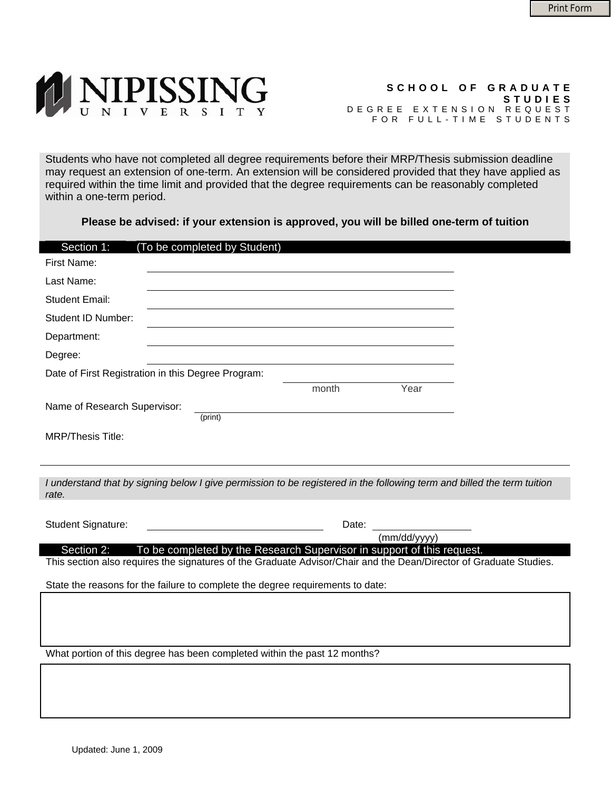

## **SCHOOL OF GRADUATE STUDIES** DEGREE EXTENSION REQUEST FOR FULL-TIME STUDENTS

Students who have not completed all degree requirements before their MRP/Thesis submission deadline may request an extension of one-term. An extension will be considered provided that they have applied as required within the time limit and provided that the degree requirements can be reasonably completed within a one-term period.

**Please be advised: if your extension is approved, you will be billed one-term of tuition** 

| Section 1:<br>(To be completed by Student)                                                                                       |                                                                        |  |
|----------------------------------------------------------------------------------------------------------------------------------|------------------------------------------------------------------------|--|
| First Name:                                                                                                                      |                                                                        |  |
| Last Name:                                                                                                                       |                                                                        |  |
| <b>Student Email:</b>                                                                                                            |                                                                        |  |
| Student ID Number:                                                                                                               |                                                                        |  |
| Department:                                                                                                                      |                                                                        |  |
| Degree:                                                                                                                          |                                                                        |  |
| Date of First Registration in this Degree Program:                                                                               |                                                                        |  |
|                                                                                                                                  | Year<br>month                                                          |  |
| Name of Research Supervisor:                                                                                                     |                                                                        |  |
| (print)                                                                                                                          |                                                                        |  |
| <b>MRP/Thesis Title:</b>                                                                                                         |                                                                        |  |
|                                                                                                                                  |                                                                        |  |
|                                                                                                                                  |                                                                        |  |
| I understand that by signing below I give permission to be registered in the following term and billed the term tuition<br>rate. |                                                                        |  |
|                                                                                                                                  |                                                                        |  |
| Student Signature:                                                                                                               | Date:                                                                  |  |
| Section 2:                                                                                                                       | (mm/dd/yyyy)                                                           |  |
| This section also requires the signatures of the Graduate Advisor/Chair and the Dean/Director of Graduate Studies.               | To be completed by the Research Supervisor in support of this request. |  |
| State the reasons for the failure to complete the degree requirements to date:                                                   |                                                                        |  |
|                                                                                                                                  |                                                                        |  |
|                                                                                                                                  |                                                                        |  |
|                                                                                                                                  |                                                                        |  |
| What portion of this degree has been completed within the past 12 months?                                                        |                                                                        |  |